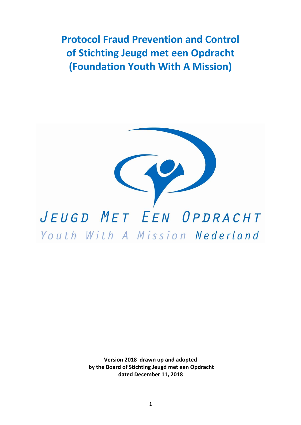**Protocol Fraud Prevention and Control of Stichting Jeugd met een Opdracht (Foundation Youth With A Mission)** 



**Version 2018 drawn up and adopted by the Board of Stichting Jeugd met een Opdracht dated December 11, 2018**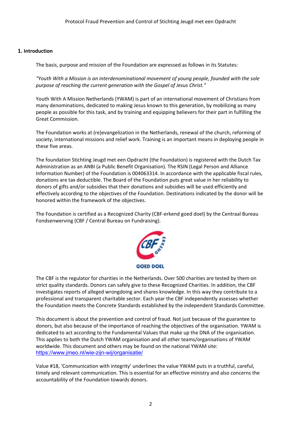## **1. Introduction**

The basis, purpose and mission of the Foundation are expressed as follows in its Statutes:

*"Youth With a Mission is an interdenominational movement of young people, founded with the sole purpose of reaching the current generation with the Gospel of Jesus Christ."*

Youth With A Mission Netherlands (YWAM) is part of an international movement of Christians from many denominations, dedicated to making Jesus known to this generation, by mobilizing as many people as possible for this task, and by training and equipping believers for their part in fulfilling the Great Commission.

The Foundation works at (re)evangelization in the Netherlands, renewal of the church, reforming of society, international missions and relief work. Training is an important means in deploying people in these five areas.

The foundation Stichting Jeugd met een Opdracht (the Foundation) is registered with the Dutch Tax Administration as an ANBI (a Public Benefit Organisation). The RSIN (Legal Person and Alliance Information Number) of the Foundation is 004063314. In accordance with the applicable fiscal rules, donations are tax deductible. The Board of the Foundation puts great value in her reliability to donors of gifts and/or subsidies that their donations and subsidies will be used efficiently and effectively according to the objectives of the Foundation. Destinations indicated by the donor will be honored within the framework of the objectives.

The Foundation is certified as a Recognized Charity (CBF-erkend goed doel) by the Centraal Bureau Fondsenwerving (CBF / Central Bureau on Fundraising).



The CBF is the regulator for charities in the Netherlands. Over 500 charities are tested by them on strict quality standards. Donors can safely give to these Recognized Charities. In addition, the CBF investigates reports of alleged wrongdoing and shares knowledge. In this way they contribute to a professional and transparent charitable sector. Each year the CBF independently assesses whether the Foundation meets the Concrete Standards established by the independent Standards Committee.

This document is about the prevention and control of fraud. Not just because of the guarantee to donors, but also because of the importance of reaching the objectives of the organisation. YWAM is dedicated to act according to the Fundamental Values that make up the DNA of the organisation. This applies to both the Dutch YWAM organisation and all other teams/organisations of YWAM worldwide. This document and others may be found on the national YWAM site: https://www.jmeo.nl/wie-zijn-wij/organisatie/

Value #18, 'Communication with integrity' underlines the value YWAM puts in a truthful, careful, timely and relevant communication. This is essential for an effective ministry and also concerns the accountability of the Foundation towards donors.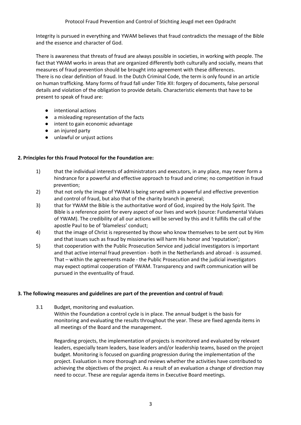Integrity is pursued in everything and YWAM believes that fraud contradicts the message of the Bible and the essence and character of God.

There is awareness that threats of fraud are always possible in societies, in working with people. The fact that YWAM works in areas that are organized differently both culturally and socially, means that measures of fraud prevention should be brought into agreement with these differences. There is no clear definition of fraud. In the Dutch Criminal Code, the term is only found in an article on human trafficking. Many forms of fraud fall under Title XII: forgery of documents, false personal details and violation of the obligation to provide details. Characteristic elements that have to be present to speak of fraud are:

- intentional actions
- a misleading representation of the facts
- intent to gain economic advantage
- an injured party
- unlawful or unjust actions

## **2. Principles for this Fraud Protocol for the Foundation are:**

- 1) that the individual interests of administrators and executors, in any place, may never form a hindrance for a powerful and effective approach to fraud and crime; no competition in fraud prevention;
- 2) that not only the image of YWAM is being served with a powerful and effective prevention and control of fraud, but also that of the charity branch in general;
- 3) that for YWAM the Bible is the authoritative word of God, inspired by the Holy Spirit. The Bible is a reference point for every aspect of our lives and work (source: Fundamental Values of YWAM). The credibility of all our actions will be served by this and it fulfills the call of the apostle Paul to be of 'blameless' conduct;
- 4) that the image of Christ is represented by those who know themselves to be sent out by Him and that issues such as fraud by missionaries will harm His honor and 'reputation';
- 5) that cooperation with the Public Prosecution Service and judicial investigators is important and that active internal fraud prevention - both in the Netherlands and abroad - is assumed. That – within the agreements made - the Public Prosecution and the judicial investigators may expect optimal cooperation of YWAM. Transparency and swift communication will be pursued in the eventuality of fraud.

## **3. The following measures and guidelines are part of the prevention and control of fraud:**

3.1 Budget, monitoring and evaluation.

Within the Foundation a control cycle is in place. The annual budget is the basis for monitoring and evaluating the results throughout the year. These are fixed agenda items in all meetings of the Board and the management.

Regarding projects, the implementation of projects is monitored and evaluated by relevant leaders, especially team leaders, base leaders and/or leadership teams, based on the project budget. Monitoring is focused on guarding progression during the implementation of the project. Evaluation is more thorough and reviews whether the activities have contributed to achieving the objectives of the project. As a result of an evaluation a change of direction may need to occur. These are regular agenda items in Executive Board meetings.